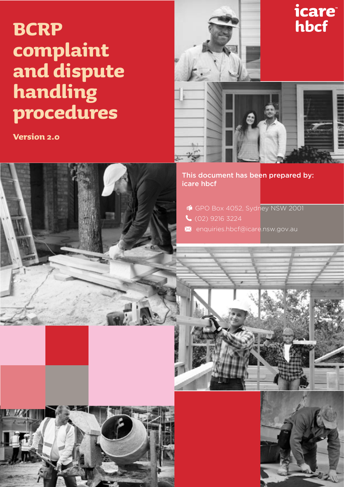## **BCRP complaint and dispute handling procedures**

**Version 2.0**







This document has been prepared by: icare hbcf

- GPO Box 4052, Sydney NSW 2001
- (02) 9216 3224
- **X** enquiries.hbcf@icare.nsw.gov.au

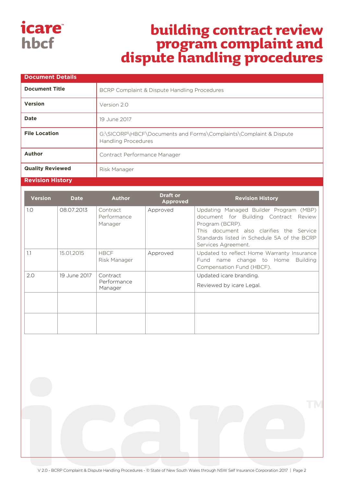### *icare* hbcf

## **building contract review program complaint and dispute handling procedures**

| <b>Document Details</b> |                                                                                                 |  |  |  |
|-------------------------|-------------------------------------------------------------------------------------------------|--|--|--|
| <b>Document Title</b>   | BCRP Complaint & Dispute Handling Procedures                                                    |  |  |  |
| <b>Version</b>          | Version 2.0                                                                                     |  |  |  |
| <b>Date</b>             | 19 June 2017                                                                                    |  |  |  |
| <b>File Location</b>    | G:\SICORP\HBCF\Documents and Forms\Complaints\Complaint & Dispute<br><b>Handling Procedures</b> |  |  |  |
| Author                  | Contract Performance Manager                                                                    |  |  |  |
| <b>Quality Reviewed</b> | Risk Manager                                                                                    |  |  |  |

#### **Revision History**

| <b>Version</b> | <b>Date</b>  | <b>Author</b>                      | <b>Draft or</b><br><b>Approved</b> | <b>Revision History</b>                                                                                                                                                                                              |
|----------------|--------------|------------------------------------|------------------------------------|----------------------------------------------------------------------------------------------------------------------------------------------------------------------------------------------------------------------|
| 1.0            | 08.07.2013   | Contract<br>Performance<br>Manager | Approved                           | Updating Managed Builder Program (MBP)<br>document for Building Contract Review<br>Program (BCRP).<br>This document also clarifies the Service<br>Standards listed in Schedule 5A of the BCRP<br>Services Agreement. |
| 1.1            | 15.01.2015   | <b>HBCF</b><br>Risk Manager        | Approved                           | Updated to reflect Home Warranty Insurance<br>name change to Home<br><b>Building</b><br>Fund<br>Compensation Fund (HBCF).                                                                                            |
| 2.0            | 19 June 2017 | Contract<br>Performance<br>Manager |                                    | Updated icare branding.<br>Reviewed by icare Legal.                                                                                                                                                                  |
|                |              |                                    |                                    |                                                                                                                                                                                                                      |
|                |              |                                    |                                    |                                                                                                                                                                                                                      |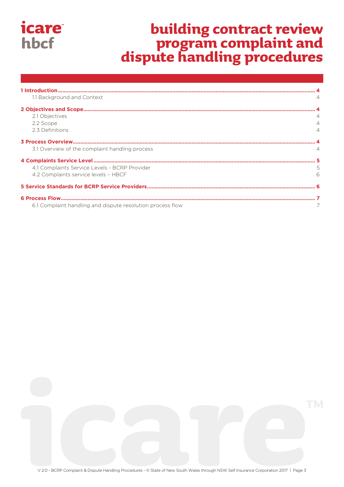# building contract review<br>program complaint and<br>dispute handling procedures

| 1.1 Background and Context                                 |   |
|------------------------------------------------------------|---|
| 2 Objectives and Scope                                     |   |
| 2.1 Objectives                                             |   |
| 2.2 Scope                                                  |   |
| 2.3 Definitions                                            |   |
|                                                            |   |
| 3.1 Overview of the complaint handling process             |   |
|                                                            |   |
| 4.1 Complaints Service Levels - BCRP Provider              | 5 |
| 4.2 Complaints service levels - HBCF                       | 6 |
|                                                            |   |
|                                                            |   |
| 6.1 Complaint handling and dispute resolution process flow |   |

*icare* 

hbcf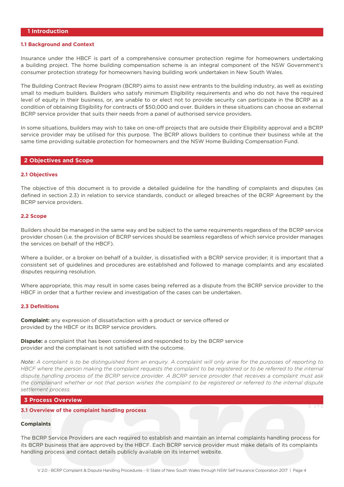#### <span id="page-3-0"></span>**1 Introduction**

#### **1.1 Background and Context**

Insurance under the HBCF is part of a comprehensive consumer protection regime for homeowners undertaking a building project. The home building compensation scheme is an integral component of the NSW Government's consumer protection strategy for homeowners having building work undertaken in New South Wales.

The Building Contract Review Program (BCRP) aims to assist new entrants to the building industry, as well as existing small to medium builders. Builders who satisfy minimum Eligibility requirements and who do not have the required level of equity in their business, or, are unable to or elect not to provide security can participate in the BCRP as a condition of obtaining Eligibility for contracts of \$50,000 and over. Builders in these situations can choose an external BCRP service provider that suits their needs from a panel of authorised service providers.

In some situations, builders may wish to take on one-off projects that are outside their Eligibility approval and a BCRP service provider may be utilised for this purpose. The BCRP allows builders to continue their business while at the same time providing suitable protection for homeowners and the NSW Home Building Compensation Fund.

#### **2 Objectives and Scope**

#### **2.1 Objectives**

The objective of this document is to provide a detailed guideline for the handling of complaints and disputes (as defined in section 2.3) in relation to service standards, conduct or alleged breaches of the BCRP Agreement by the BCRP service providers.

#### **2.2 Scope**

Builders should be managed in the same way and be subject to the same requirements regardless of the BCRP service provider chosen (i.e. the provision of BCRP services should be seamless regardless of which service provider manages the services on behalf of the HBCF).

Where a builder, or a broker on behalf of a builder, is dissatisfied with a BCRP service provider; it is important that a consistent set of guidelines and procedures are established and followed to manage complaints and any escalated disputes requiring resolution.

Where appropriate, this may result in some cases being referred as a dispute from the BCRP service provider to the HBCF in order that a further review and investigation of the cases can be undertaken.

#### **2.3 Definitions**

**Complaint:** any expression of dissatisfaction with a product or service offered or provided by the HBCF or its BCRP service providers.

**Dispute:** a complaint that has been considered and responded to by the BCRP service provider and the complainant is not satisfied with the outcome.

*Note: A complaint is to be distinguished from an enquiry. A complaint will only arise for the purposes of reporting to HBCF where the person making the complaint requests the complaint to be registered or to be referred to the internal dispute handling process of the BCRP service provider. A BCRP service provider that receives a complaint must ask the complainant whether or not that person wishes the complaint to be registered or referred to the internal dispute settlement process.*

#### **3 Process Overview**

#### **3.1 Overview of the complaint handling process**

#### **Complaints**

The BCRP Service Providers are each required to establish and maintain an internal complaints handling process for its BCRP business that are approved by the HBCF. Each BCRP service provider must make details of its complaints handling process and contact details publicly available on its internet website.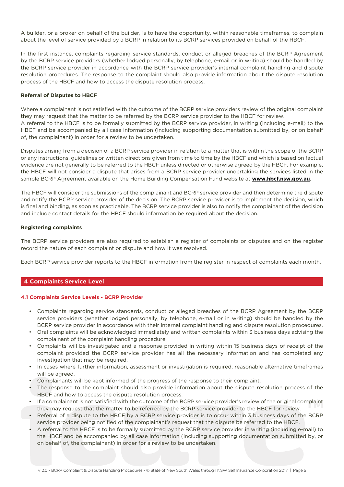<span id="page-4-0"></span>A builder, or a broker on behalf of the builder, is to have the opportunity, within reasonable timeframes, to complain about the level of service provided by a BCRP in relation to its BCRP services provided on behalf of the HBCF.

In the first instance, complaints regarding service standards, conduct or alleged breaches of the BCRP Agreement by the BCRP service providers (whether lodged personally, by telephone, e-mail or in writing) should be handled by the BCRP service provider in accordance with the BCRP service provider's internal complaint handling and dispute resolution procedures. The response to the complaint should also provide information about the dispute resolution process of the HBCF and how to access the dispute resolution process.

#### **Referral of Disputes to HBCF**

Where a complainant is not satisfied with the outcome of the BCRP service providers review of the original complaint they may request that the matter to be referred by the BCRP service provider to the HBCF for review. A referral to the HBCF is to be formally submitted by the BCRP service provider, in writing (including e-mail) to the HBCF and be accompanied by all case information (including supporting documentation submitted by, or on behalf of, the complainant) in order for a review to be undertaken.

Disputes arising from a decision of a BCRP service provider in relation to a matter that is within the scope of the BCRP or any instructions, guidelines or written directions given from time to time by the HBCF and which is based on factual evidence are not generally to be referred to the HBCF unless directed or otherwise agreed by the HBCF. For example, the HBCF will not consider a dispute that arises from a BCRP service provider undertaking the services listed in the sample BCRP Agreement available on the Home Building Compensation Fund website at **[www.hbcf.nsw.gov.au](http://www.hbcf.nsw.gov.au)**.

The HBCF will consider the submissions of the complainant and BCRP service provider and then determine the dispute and notify the BCRP service provider of the decision. The BCRP service provider is to implement the decision, which is final and binding, as soon as practicable. The BCRP service provider is also to notify the complainant of the decision and include contact details for the HBCF should information be required about the decision.

#### **Registering complaints**

The BCRP service providers are also required to establish a register of complaints or disputes and on the register record the nature of each complaint or dispute and how it was resolved.

Each BCRP service provider reports to the HBCF information from the register in respect of complaints each month.

#### **4 Complaints Service Level**

#### **4.1 Complaints Service Levels - BCRP Provider**

- Complaints regarding service standards, conduct or alleged breaches of the BCRP Agreement by the BCRP service providers (whether lodged personally, by telephone, e-mail or in writing) should be handled by the BCRP service provider in accordance with their internal complaint handling and dispute resolution procedures.
- Oral complaints will be acknowledged immediately and written complaints within 3 business days advising the complainant of the complaint handling procedure.
- Complaints will be investigated and a response provided in writing within 15 business days of receipt of the complaint provided the BCRP service provider has all the necessary information and has completed any investigation that may be required.
- In cases where further information, assessment or investigation is required, reasonable alternative timeframes will be agreed.
- Complainants will be kept informed of the progress of the response to their complaint.
- The response to the complaint should also provide information about the dispute resolution process of the HBCF and how to access the dispute resolution process.
- If a complainant is not satisfied with the outcome of the BCRP service provider's review of the original complaint they may request that the matter to be referred by the BCRP service provider to the HBCF for review.
- Referral of a dispute to the HBCF by a BCRP service provider is to occur within 3 business days of the BCRP service provider being notified of the complainant's request that the dispute be referred to the HBCF.
- A referral to the HBCF is to be formally submitted by the BCRP service provider in writing (including e-mail) to the HBCF and be accompanied by all case information (including supporting documentation submitted by, or on behalf of, the complainant) in order for a review to be undertaken.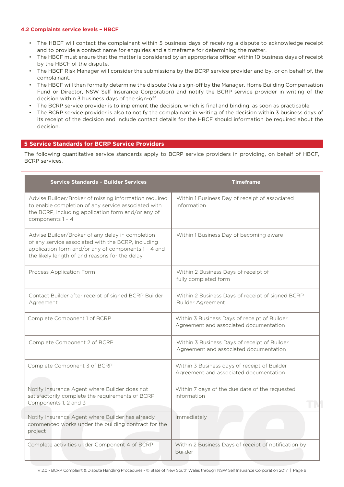#### <span id="page-5-0"></span>**4.2 Complaints service levels – HBCF**

- The HBCF will contact the complainant within 5 business days of receiving a dispute to acknowledge receipt and to provide a contact name for enquiries and a timeframe for determining the matter.
- The HBCF must ensure that the matter is considered by an appropriate officer within 10 business days of receipt by the HBCF of the dispute.
- The HBCF Risk Manager will consider the submissions by the BCRP service provider and by, or on behalf of, the complainant.
- The HBCF will then formally determine the dispute (via a sign-off by the Manager, Home Building Compensation Fund or Director, NSW Self Insurance Corporation) and notify the BCRP service provider in writing of the decision within 3 business days of the sign-off.
- The BCRP service provider is to implement the decision, which is final and binding, as soon as practicable.
- The BCRP service provider is also to notify the complainant in writing of the decision within 3 business days of its receipt of the decision and include contact details for the HBCF should information be required about the decision.

#### **5 Service Standards for BCRP Service Providers**

The following quantitative service standards apply to BCRP service providers in providing, on behalf of HBCF, BCRP services.

| <b>Service Standards - Builder Services</b>                                                                                                                                                                     | <b>Timeframe</b>                                                                       |
|-----------------------------------------------------------------------------------------------------------------------------------------------------------------------------------------------------------------|----------------------------------------------------------------------------------------|
| Advise Builder/Broker of missing information required<br>to enable completion of any service associated with<br>the BCRP, including application form and/or any of<br>components $1 - 4$                        | Within 1 Business Day of receipt of associated<br>information                          |
| Advise Builder/Broker of any delay in completion<br>of any service associated with the BCRP, including<br>application form and/or any of components 1 - 4 and<br>the likely length of and reasons for the delay | Within 1 Business Day of becoming aware                                                |
| Process Application Form                                                                                                                                                                                        | Within 2 Business Days of receipt of<br>fully completed form                           |
| Contact Builder after receipt of signed BCRP Builder<br>Agreement                                                                                                                                               | Within 2 Business Days of receipt of signed BCRP<br>Builder Agreement                  |
| Complete Component 1 of BCRP                                                                                                                                                                                    | Within 3 Business Days of receipt of Builder<br>Agreement and associated documentation |
| Complete Component 2 of BCRP                                                                                                                                                                                    | Within 3 Business Days of receipt of Builder<br>Agreement and associated documentation |
| Complete Component 3 of BCRP                                                                                                                                                                                    | Within 3 Business days of receipt of Builder<br>Agreement and associated documentation |
| Notify Insurance Agent where Builder does not<br>satisfactorily complete the requirements of BCRP<br>Components 1, 2 and 3                                                                                      | Within 7 days of the due date of the requested<br>information                          |
| Notify Insurance Agent where Builder has already<br>commenced works under the building contract for the<br>project                                                                                              | Immediately                                                                            |
| Complete activities under Component 4 of BCRP                                                                                                                                                                   | Within 2 Business Days of receipt of notification by<br><b>Builder</b>                 |